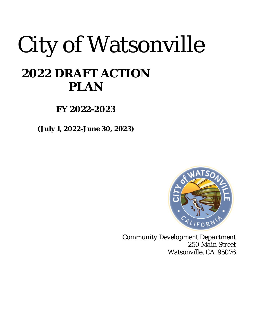# City of Watsonville **2022 DRAFT ACTION PLAN**

**FY 2022-2023**

**(July 1, 2022-June 30, 2023)**



*Community Development Department 250 Main Street* Watsonville, CA 95076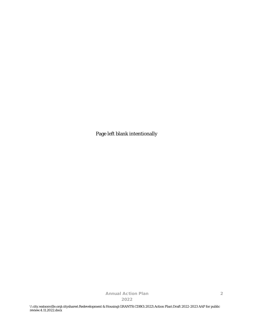Page left blank intentionally

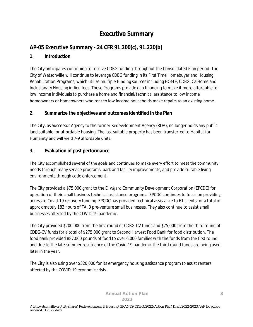# **Executive Summary**

# **AP-05 Executive Summary - 24 CFR 91.200(c), 91.220(b)**

### **1. Introduction**

The City anticipates continuing to receive CDBG funding throughout the Consolidated Plan period. The City of Watsonville will continue to leverage CDBG funding in its First Time Homebuyer and Housing Rehabilitation Programs, which utilize multiple funding sources including HOME, CDBG, CalHome and Inclusionary Housing in-lieu fees. These Programs provide gap financing to make it more affordable for low income individuals to purchase a home and financial/technical assistance to low income homeowners or homeowners who rent to low income households make repairs to an existing home.

### **2. Summarize the objectives and outcomes identified in the Plan**

The City, as Successor Agency to the former Redevelopment Agency (RDA), no longer holds any public land suitable for affordable housing. The last suitable property has been transferred to Habitat for Humanity and will yield 7-9 affordable units.

### **3. Evaluation of past performance**

The City accomplished several of the goals and continues to make every effort to meet the community needs through many service programs, park and facility improvements, and provide suitable living environments through code enforcement.

The City provided a \$75,000 grant to the El Pájaro Community Development Corporation (EPCDC) for operation of their small business technical assistance programs. EPCDC continues to focus on providing access to Covid-19 recovery funding. EPCDC has provided technical assistance to 61 clients for a total of approximately 183 hours of TA, 3 pre-venture small businesses. They also continue to assist small businesses affected by the COVID-19 pandemic.

The City provided \$200,000 from the first round of CDBG-CV funds and \$75,000 from the third round of CDBG-CV funds for a total of \$275,000 grant to Second Harvest Food Bank for food distribution. The food bank provided 887,000 pounds of food to over 6,000 families with the funds from the first round and due to the late-summer resurgence of the Covid-19 pandemic the third round funds are being used later in the year.

The City is also using over \$320,000 for its emergency housing assistance program to assist renters affected by the COVID-19 economic crisis.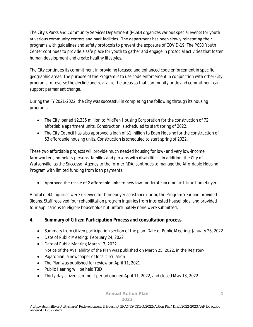The City's Parks and Community Services Department (PCSD) organizes various special events for youth at various community centers and park facilities. The department has been slowly reinstating their programs with guidelines and safety protocols to prevent the exposure of COVID-19. The PCSD Youth Center continues to provide a safe place for youth to gather and engage in prosocial activities that foster human development and create healthy lifestyles.

The City continues its commitment in providing focused and enhanced code enforcement in specific geographic areas. The purpose of the Program is to use code enforcement in conjunction with other City programs to reverse the decline and revitalize the areas so that community pride and commitment can support permanent change.

During the FY 2021-2022, the City was successful in completing the following through its housing programs.

- The City loaned \$2.335 million to MidPen Housing Corporation for the construction of 72 affordable apartment units. Construction is scheduled to start spring of 2022.
- The City Council has also approved a loan of \$1 million to Eden Housing for the construction of 53 affordable housing units. Construction is scheduled to start spring of 2022.

These two affordable projects will provide much needed housing for low- and very low-income farmworkers, homeless persons, families and persons with disabilities. In addition, the City of Watsonville, as the Successor Agency to the former RDA, continues to manage the Affordable Housing Program with limited funding from loan payments.

Approved the resale of 2 affordable units to new low-moderate income first time homebuyers.

A total of 44 inquiries were received for homebuyer assistance during the Program Year and provided 3loans. Staff received four rehabilitation program inquiries from interested households, and provided four applications to eligible households but unfortunately none were submitted.

## **4. Summary of Citizen Participation Process and consultation process**

- Summary from citizen participation section of the plan. Date of Public Meeting: January 26, 2022
- Date of Public Meeting: February 24, 2022
- Date of Public Meeting March 17, 2022 Notice of the Availability of the Plan was published on March 25, 2022, in the Register-
- Pajaronian, a newspaper of local circulation
- The Plan was published for review on April 11, 2021
- Public Hearing will be held TBD
- Thirty-day citizen comment period opened April 11, 2022, and closed May 13, 2022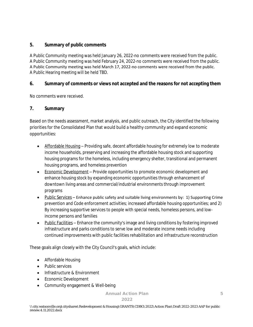### **5. Summary of public comments**

A Public Community meeting was held January 26, 2022-no comments were received from the public. A Public Community meeting was held February 24, 2022-no comments were received from the public. A Public Community meeting was held March 17, 2022-no comments were received from the public. A Public Hearing meeting will be held TBD.

### **6. Summary of comments or views not accepted and the reasons for not accepting them**

No comments were received.

### **7. Summary**

Based on the needs assessment, market analysis, and public outreach, the City identified the following priorities for the Consolidated Plan that would build a healthy community and expand economic opportunities:

- Affordable Housing Providing safe, decent affordable housing for extremely low to moderate income households, preserving and increasing the affordable housing stock and supporting housing programs for the homeless, including emergency shelter, transitional and permanent housing programs, and homeless prevention
- Economic Development Provide opportunities to promote economic development and enhance housing stock by expanding economic opportunities through enhancement of downtown living areas and commercial/industrial environments through improvement programs
- Public Services Enhance public safety and suitable living environments by: 1) Supporting Crime prevention and Code enforcement activities; increased affordable housing opportunities; and 2) By increasing supportive services to people with special needs, homeless persons, and lowincome persons and families
- Public Facilities Enhance the community's image and living conditions by fostering improved infrastructure and parks conditions to serve low and moderate income needs including continued improvements with public facilities rehabilitation and infrastructure reconstruction

These goals align closely with the City Council's goals, which include:

- Affordable Housing
- Public services
- Infrastructure & Environment
- Economic Development
- Community engagement & Well-being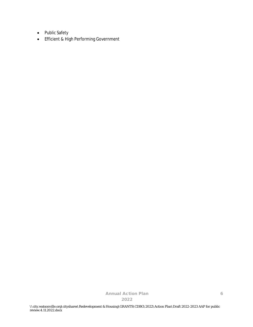- Public Safety
- **•** Efficient & High Performing Government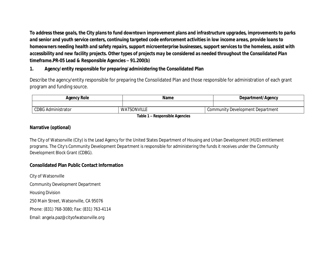*To address these goals, the City plans to fund downtown improvement plans and infrastructure upgrades, improvements to parks and senior and youth service centers, continuing targeted code enforcement activities in low income areas, provide loans to homeowners needing health and safety repairs, support microenterprise businesses, support services to the homeless, assist with accessibility and new facility projects. Other types of projects may be considered as needed throughout the Consolidated Plan timeframe.***PR-05 Lead & Responsible Agencies – 91.200(b)**

### **1. Agency/entity responsible for preparing/administering the Consolidated Plan**

Describe the agency/entity responsible for preparing the Consolidated Plan and those responsible for administration of each grant program and funding source.

| Agency Role              | <b>Name</b>         | Department/Agency                  |  |
|--------------------------|---------------------|------------------------------------|--|
|                          |                     |                                    |  |
| . Administrator ر<br>DBG | <b>ONVIL</b><br>M N | Development Department<br>Communit |  |

**Table 1 – Responsible Agencies**

## **Narrative (optional)**

The City of Watsonville (City) is the Lead Agency for the United States Department of Housing and Urban Development (HUD) entitlement programs. The City's Community Development Department is responsible for administering the funds it receives under the Community Development Block Grant (CDBG).

## **Consolidated Plan Public Contact Information**

City of Watsonville Community Development Department Housing Division 250 Main Street, Watsonville, CA 95076 Phone: (831) 768-3080; Fax: (831) 763-4114 Email: angela.paz@cityofwatsonville.org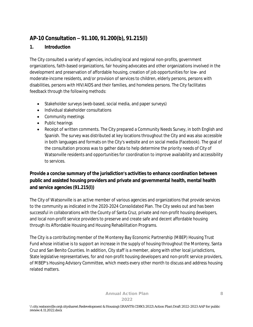# **AP-10 Consultation – 91.100, 91.200(b), 91.215(l)**

### **1. Introduction**

The City consulted a variety of agencies, including local and regional non-profits, government organizations, faith-based organizations, fair housing advocates and other organizations involved in the development and preservation of affordable housing, creation of job opportunities for low- and moderate-income residents, and/or provision of services to children, elderly persons, persons with disabilities, persons with HIV/AIDS and their families, and homeless persons. The City facilitates feedback through the following methods:

- Stakeholder surveys (web-based, social media, and paper surveys)
- Individual stakeholder consultations
- Community meetings
- Public hearings
- Receipt of written comments. The City prepared a Community Needs Survey, in both English and Spanish. The survey was distributed at key locations throughout the City and was also accessible in both languages and formats on the City's website and on social media (Facebook). The goal of the consultation process was to gather data to help determine the priority needs of City of Watsonville residents and opportunities for coordination to improve availability and accessibility to services.

# **Provide a concise summary of the jurisdiction's activities to enhance coordination between public and assisted housing providers and private and governmental health, mental health and service agencies (91.215(l))**

The City of Watsonville is an active member of various agencies and organizations that provide services to the community as indicated in the 2020-2024 Consolidated Plan. The City seeks out and has been successful in collaborations with the County of Santa Cruz, private and non-profit housing developers, and local non-profit service providers to preserve and create safe and decent affordable housing through its Affordable Housing and Housing Rehabilitation Programs.

The City is a contributing member of the Monterey Bay Economic Partnership (MBEP) Housing Trust Fund whose initiative is to support an increase in the supply of housing throughout the Monterey, Santa Cruz and San Benito Counties. In addition, City staff is a member, along with other local jurisdictions, State legislative representatives, for and non-profit housing developers and non-profit service providers, of MBEP's Housing Advisory Committee, which meets every other month to discuss and address housing related matters.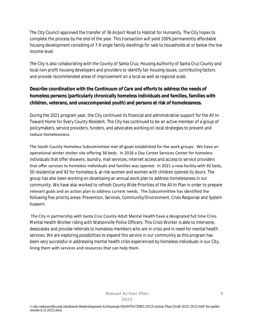The City Council approved the transfer of 36 Airport Road to Habitat for Humanity. The City hopes to complete the process by the end of the year. This transaction will yield 100% permanently affordable housing development consisting of 7-9 single family dwellings for sale to households at or below the low income level.

The City is also collaborating with the County of Santa Cruz, Housing Authority of Santa Cruz County and local non-profit housing developers and providers to identify fair housing issues, contributing factors and provide recommended areas of improvement on a local as well as regional scale.

### **Describe coordination with the Continuum of Care and efforts to address the needs of homeless persons (particularly chronically homeless individuals and families, families with children, veterans, and unaccompanied youth) and persons at risk of homelessness.**

During the 2021 program year, the City continued its financial and administrative support for the All In-Toward Home for Every County Resident. The City has continued to be an active member of a group of policymakers, service providers, funders, and advocates working on local strategies to prevent and reduce homelessness.

The South County Homeless Subcommittee met all goals established for the work groups. We have an operational winter shelter site offering 38 beds. In 2018 a Day Center Services Center for homeless individuals that offer showers, laundry, mail services, internet access and access to service providers that offer services to homeless individuals and families was opened. In 2021 a new facility with 92 beds, 50 residential and 42 for homeless & at-risk women and women with children opened its doors. The group has also been working on developing an annual work plan to address homelessness in our community. We have also worked to refresh County Wide Priorities of the All-In Plan in order to prepare relevant goals and an action plan to address current needs. The Subcommittee has identified the following five priority areas: Prevention, Services, Community/Environment, Crisis Response and System Support.

 The City in partnership with Santa Cruz County Adult Mental Health have a designated full time Crisis Mental Health Worker riding with Watsonville Police Officers. This Crisis Worker is able to intervene, deescalate and provide referrals to homeless members who are in crisis and in need for mental health services. We are exploring possibilities to expand this service in our community as this program has been very successful in addressing mental health crisis experienced by homeless individuals in our City, lining them with services and resources that can help them.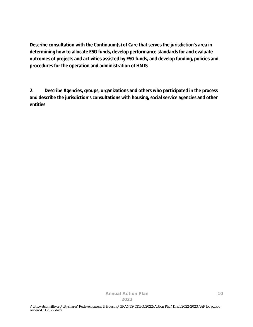**Describe consultation with the Continuum(s) of Care that serves the jurisdiction's area in determining how to allocate ESG funds, develop performance standards for and evaluate outcomes of projects and activities assisted by ESG funds, and develop funding, policies and procedures for the operation and administration of HMIS**

**2. Describe Agencies, groups, organizations and others who participated in the process and describe the jurisdiction's consultations with housing, social service agencies and other entities**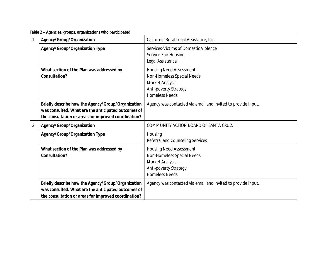|                | Agency/Group/Organization                                                                                                                                         | California Rural Legal Assistance, Inc.                                                                                           |  |  |  |
|----------------|-------------------------------------------------------------------------------------------------------------------------------------------------------------------|-----------------------------------------------------------------------------------------------------------------------------------|--|--|--|
|                | Agency/Group/Organization Type                                                                                                                                    | Services-Victims of Domestic Violence<br>Service-Fair Housing<br>Legal Assistance                                                 |  |  |  |
|                | What section of the Plan was addressed by<br>Consultation?                                                                                                        | <b>Housing Need Assessment</b><br>Non-Homeless Special Needs<br>Market Analysis<br>Anti-poverty Strategy<br><b>Homeless Needs</b> |  |  |  |
|                | Briefly describe how the Agency/Group/Organization<br>was consulted. What are the anticipated outcomes of<br>the consultation or areas for improved coordination? | Agency was contacted via email and invited to provide input.                                                                      |  |  |  |
| $\overline{2}$ | Agency/Group/Organization                                                                                                                                         | COMMUNITY ACTION BOARD OF SANTA CRUZ.                                                                                             |  |  |  |
|                | Agency/Group/Organization Type                                                                                                                                    | Housing<br>Referral and Counseling Services                                                                                       |  |  |  |
|                | What section of the Plan was addressed by<br><b>Consultation?</b>                                                                                                 | <b>Housing Need Assessment</b><br>Non-Homeless Special Needs<br>Market Analysis<br>Anti-poverty Strategy<br><b>Homeless Needs</b> |  |  |  |
|                | Briefly describe how the Agency/Group/Organization<br>was consulted. What are the anticipated outcomes of<br>the consultation or areas for improved coordination? | Agency was contacted via email and invited to provide input.                                                                      |  |  |  |

**Table 2 – Agencies, groups, organizations who participated**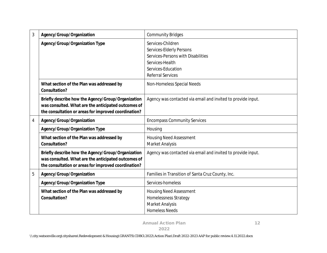| 3 | Agency/Group/Organization                                                                                                                                         | <b>Community Bridges</b>                                                                                                                                 |  |  |  |
|---|-------------------------------------------------------------------------------------------------------------------------------------------------------------------|----------------------------------------------------------------------------------------------------------------------------------------------------------|--|--|--|
|   | Agency/Group/Organization Type                                                                                                                                    | Services-Children<br>Services-Elderly Persons<br>Services-Persons with Disabilities<br>Services-Health<br>Services-Education<br><b>Referral Services</b> |  |  |  |
|   | What section of the Plan was addressed by<br>Consultation?                                                                                                        | Non-Homeless Special Needs                                                                                                                               |  |  |  |
|   | Briefly describe how the Agency/Group/Organization<br>was consulted. What are the anticipated outcomes of<br>the consultation or areas for improved coordination? | Agency was contacted via email and invited to provide input.                                                                                             |  |  |  |
| 4 | Agency/Group/Organization                                                                                                                                         | <b>Encompass Community Services</b>                                                                                                                      |  |  |  |
|   | Agency/Group/Organization Type                                                                                                                                    | Housing                                                                                                                                                  |  |  |  |
|   | What section of the Plan was addressed by<br><b>Consultation?</b>                                                                                                 | <b>Housing Need Assessment</b><br>Market Analysis                                                                                                        |  |  |  |
|   | Briefly describe how the Agency/Group/Organization<br>was consulted. What are the anticipated outcomes of<br>the consultation or areas for improved coordination? | Agency was contacted via email and invited to provide input.                                                                                             |  |  |  |
| 5 | Agency/Group/Organization                                                                                                                                         | Families in Transition of Santa Cruz County, Inc.                                                                                                        |  |  |  |
|   | Agency/Group/Organization Type                                                                                                                                    | Services-homeless                                                                                                                                        |  |  |  |
|   | What section of the Plan was addressed by<br><b>Consultation?</b>                                                                                                 | <b>Housing Need Assessment</b><br>Homelessness Strategy<br>Market Analysis<br><b>Homeless Needs</b>                                                      |  |  |  |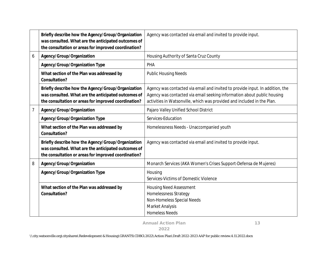|   | Briefly describe how the Agency/Group/Organization<br>was consulted. What are the anticipated outcomes of<br>the consultation or areas for improved coordination? | Agency was contacted via email and invited to provide input.                                                                                                                                                                        |  |  |  |  |
|---|-------------------------------------------------------------------------------------------------------------------------------------------------------------------|-------------------------------------------------------------------------------------------------------------------------------------------------------------------------------------------------------------------------------------|--|--|--|--|
| 6 | Agency/Group/Organization                                                                                                                                         | Housing Authority of Santa Cruz County                                                                                                                                                                                              |  |  |  |  |
|   | Agency/Group/Organization Type                                                                                                                                    | PHA                                                                                                                                                                                                                                 |  |  |  |  |
|   | What section of the Plan was addressed by<br><b>Consultation?</b>                                                                                                 | <b>Public Housing Needs</b>                                                                                                                                                                                                         |  |  |  |  |
|   | Briefly describe how the Agency/Group/Organization<br>was consulted. What are the anticipated outcomes of<br>the consultation or areas for improved coordination? | Agency was contacted via email and invited to provide input. In addition, the<br>Agency was contacted via email seeking information about public housing<br>activities in Watsonville, which was provided and included in the Plan. |  |  |  |  |
| 7 | Agency/Group/Organization                                                                                                                                         | Pajaro Valley Unified School District                                                                                                                                                                                               |  |  |  |  |
|   | Agency/Group/Organization Type                                                                                                                                    | Services-Education                                                                                                                                                                                                                  |  |  |  |  |
|   | What section of the Plan was addressed by<br><b>Consultation?</b>                                                                                                 | Homelessness Needs - Unaccompanied youth                                                                                                                                                                                            |  |  |  |  |
|   | Briefly describe how the Agency/Group/Organization<br>was consulted. What are the anticipated outcomes of<br>the consultation or areas for improved coordination? | Agency was contacted via email and invited to provide input.                                                                                                                                                                        |  |  |  |  |
| 8 | Agency/Group/Organization                                                                                                                                         | Monarch Services (AKA Women's Crises Support-Defensa de Mujeres)                                                                                                                                                                    |  |  |  |  |
|   | Agency/Group/Organization Type                                                                                                                                    | Housing<br>Services-Victims of Domestic Violence                                                                                                                                                                                    |  |  |  |  |
|   | What section of the Plan was addressed by<br><b>Consultation?</b>                                                                                                 | <b>Housing Need Assessment</b><br><b>Homelessness Strategy</b><br>Non-Homeless Special Needs<br>Market Analysis<br><b>Homeless Needs</b>                                                                                            |  |  |  |  |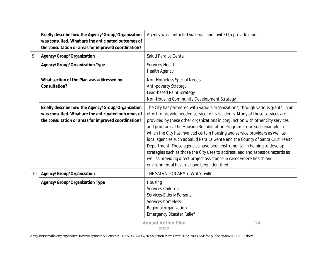|                 | Briefly describe how the Agency/Group/Organization<br>was consulted. What are the anticipated outcomes of<br>the consultation or areas for improved coordination? | Agency was contacted via email and invited to provide input.                                                                                                                                                                                                                                                                                                                                                                                                                                                                                                                                                                                                                                                                                                                         |  |  |  |
|-----------------|-------------------------------------------------------------------------------------------------------------------------------------------------------------------|--------------------------------------------------------------------------------------------------------------------------------------------------------------------------------------------------------------------------------------------------------------------------------------------------------------------------------------------------------------------------------------------------------------------------------------------------------------------------------------------------------------------------------------------------------------------------------------------------------------------------------------------------------------------------------------------------------------------------------------------------------------------------------------|--|--|--|
| 9               | Agency/Group/Organization                                                                                                                                         | Salud Para La Gente                                                                                                                                                                                                                                                                                                                                                                                                                                                                                                                                                                                                                                                                                                                                                                  |  |  |  |
|                 | Agency/Group/Organization Type                                                                                                                                    | Services-Health<br><b>Health Agency</b>                                                                                                                                                                                                                                                                                                                                                                                                                                                                                                                                                                                                                                                                                                                                              |  |  |  |
|                 | What section of the Plan was addressed by<br><b>Consultation?</b>                                                                                                 | Non-Homeless Special Needs<br>Anti-poverty Strategy<br>Lead-based Paint Strategy<br>Non-Housing Community Development Strategy                                                                                                                                                                                                                                                                                                                                                                                                                                                                                                                                                                                                                                                       |  |  |  |
|                 | Briefly describe how the Agency/Group/Organization<br>was consulted. What are the anticipated outcomes of<br>the consultation or areas for improved coordination? | The City has partnered with various organizations, through various grants, in an<br>effort to provide needed service to its residents. Many of these services are<br>provided by these other organizations in conjunction with other City services<br>and programs. The Housing Rehabilitation Program is one such example in<br>which the City has involved certain housing and service providers as well as<br>local agencies such as Salud Para La Gente and the County of Santa Cruz Health<br>Department. These agencies have been instrumental in helping to develop<br>strategies such as those the City uses to address lead and asbestos hazards as<br>well as providing direct project assistance in cases where health and<br>environmental hazards have been identified. |  |  |  |
| 10 <sup>°</sup> | Agency/Group/Organization                                                                                                                                         | THE SALVATION ARMY, Watsonville                                                                                                                                                                                                                                                                                                                                                                                                                                                                                                                                                                                                                                                                                                                                                      |  |  |  |
|                 | Agency/Group/Organization Type                                                                                                                                    | Housing<br>Services-Children<br>Services-Elderly Persons<br>Services-homeless<br>Regional organization<br><b>Emergency Disaster Relief</b>                                                                                                                                                                                                                                                                                                                                                                                                                                                                                                                                                                                                                                           |  |  |  |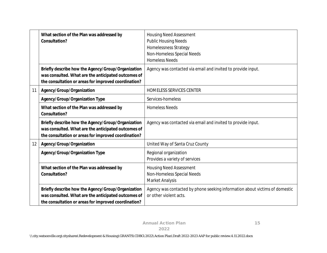|                 | What section of the Plan was addressed by<br><b>Consultation?</b>                                                                                                 | <b>Housing Need Assessment</b><br><b>Public Housing Needs</b><br>Homelessness Strategy<br>Non-Homeless Special Needs<br><b>Homeless Needs</b> |  |  |
|-----------------|-------------------------------------------------------------------------------------------------------------------------------------------------------------------|-----------------------------------------------------------------------------------------------------------------------------------------------|--|--|
|                 | Briefly describe how the Agency/Group/Organization<br>was consulted. What are the anticipated outcomes of<br>the consultation or areas for improved coordination? | Agency was contacted via email and invited to provide input.                                                                                  |  |  |
| 11              | Agency/Group/Organization                                                                                                                                         | HOMELESS SERVICES CENTER                                                                                                                      |  |  |
|                 | <b>Agency/Group/Organization Type</b>                                                                                                                             | Services-homeless                                                                                                                             |  |  |
|                 | What section of the Plan was addressed by<br><b>Consultation?</b>                                                                                                 | <b>Homeless Needs</b>                                                                                                                         |  |  |
|                 | Briefly describe how the Agency/Group/Organization<br>was consulted. What are the anticipated outcomes of<br>the consultation or areas for improved coordination? | Agency was contacted via email and invited to provide input.                                                                                  |  |  |
| 12 <sup>2</sup> | Agency/Group/Organization                                                                                                                                         | United Way of Santa Cruz County                                                                                                               |  |  |
|                 | Agency/Group/Organization Type                                                                                                                                    | Regional organization<br>Provides a variety of services                                                                                       |  |  |
|                 | What section of the Plan was addressed by<br><b>Consultation?</b>                                                                                                 | <b>Housing Need Assessment</b><br>Non-Homeless Special Needs<br>Market Analysis                                                               |  |  |
|                 | Briefly describe how the Agency/Group/Organization<br>was consulted. What are the anticipated outcomes of<br>the consultation or areas for improved coordination? | Agency was contacted by phone seeking information about victims of domestic<br>or other violent acts.                                         |  |  |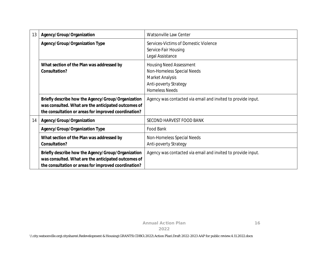| 13 | Agency/Group/Organization                                                                                                                                         | Watsonville Law Center                                                                                                            |  |  |  |  |
|----|-------------------------------------------------------------------------------------------------------------------------------------------------------------------|-----------------------------------------------------------------------------------------------------------------------------------|--|--|--|--|
|    | Agency/Group/Organization Type                                                                                                                                    | Services-Victims of Domestic Violence<br>Service-Fair Housing<br>Legal Assistance                                                 |  |  |  |  |
|    | What section of the Plan was addressed by<br>Consultation?                                                                                                        | <b>Housing Need Assessment</b><br>Non-Homeless Special Needs<br>Market Analysis<br>Anti-poverty Strategy<br><b>Homeless Needs</b> |  |  |  |  |
|    | Briefly describe how the Agency/Group/Organization<br>was consulted. What are the anticipated outcomes of<br>the consultation or areas for improved coordination? | Agency was contacted via email and invited to provide input.                                                                      |  |  |  |  |
| 14 | Agency/Group/Organization                                                                                                                                         | SECOND HARVEST FOOD BANK                                                                                                          |  |  |  |  |
|    | Agency/Group/Organization Type                                                                                                                                    | Food Bank                                                                                                                         |  |  |  |  |
|    | What section of the Plan was addressed by<br><b>Consultation?</b>                                                                                                 | Non-Homeless Special Needs<br>Anti-poverty Strategy                                                                               |  |  |  |  |
|    | Briefly describe how the Agency/Group/Organization<br>was consulted. What are the anticipated outcomes of<br>the consultation or areas for improved coordination? | Agency was contacted via email and invited to provide input.                                                                      |  |  |  |  |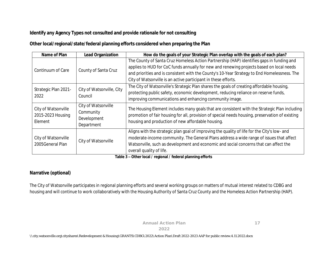### **Identify any Agency Types not consulted and provide rationale for not consulting**

### **Other local/regional/state/federal planning efforts considered when preparing the Plan**

| Name of Plan                                        | <b>Lead Organization</b>                                      | How do the goals of your Strategic Plan overlap with the goals of each plan?                                                                                                                                                                                                                                                                            |  |  |
|-----------------------------------------------------|---------------------------------------------------------------|---------------------------------------------------------------------------------------------------------------------------------------------------------------------------------------------------------------------------------------------------------------------------------------------------------------------------------------------------------|--|--|
| County of Santa Cruz<br>Continuum of Care           |                                                               | The County of Santa Cruz Homeless Action Partnership (HAP) identifies gaps in funding and<br>applies to HUD for CoC funds annually for new and renewing projects based on local needs<br>and priorities and is consistent with the County's 10-Year Strategy to End Homelessness. The<br>City of Watsonville is an active participant in these efforts. |  |  |
| Strategic Plan 2021-<br>2022                        | City of Watsonville, City<br>Council                          | The City of Watsonville's Strategic Plan shares the goals of creating affordable housing,<br>protecting public safety, economic development, reducing reliance on reserve funds,<br>improving communications and enhancing community image.                                                                                                             |  |  |
| City of Watsonville<br>2015-2023 Housing<br>Element | City of Watsonville<br>Community<br>Development<br>Department | The Housing Element includes many goals that are consistent with the Strategic Plan including<br>promotion of fair housing for all, provision of special needs housing, preservation of existing<br>housing and production of new affordable housing.                                                                                                   |  |  |
| City of Watsonville<br>2005General Plan             | City of Watsonville                                           | Aligns with the strategic plan goal of improving the quality of life for the City's low- and<br>moderate-income community. The General Plans address a wide range of issues that affect<br>Watsonville, such as development and economic and social concerns that can affect the<br>overall quality of life.                                            |  |  |

**Table 3 – Other local / regional / federal planning efforts**

### **Narrative (optional)**

The City of Watsonville participates in regional planning efforts and several working groups on matters of mutual interest related to CDBG and housing and will continue to work collaboratively with the Housing Authority of Santa Cruz County and the Homeless Action Partnership (HAP).

> **Annual Action Plan 2022**

\\city.watsonville.org\cityshares\Redevelopment & Housing\GRANTS\CDBG\2022\Action Plan\Draft 2022-2023 AAP for public review.4.11.2022.docx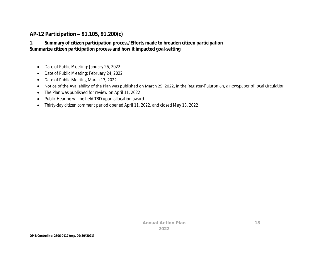# **AP-12 Participation – 91.105, 91.200(c)**

### **1. Summary of citizen participation process/Efforts made to broaden citizen participation Summarize citizen participation process and how it impacted goal-setting**

- Date of Public Meeting: January 26, 2022
- Date of Public Meeting: February 24, 2022
- Date of Public Meeting March 17, 2022
- Notice of the Availability of the Plan was published on March 25, 2022, in the Register-Pajaronian, a newspaper of local circulation
- The Plan was published for review on April 11, 2022
- Public Hearing will be held TBD upon allocation award
- Thirty-day citizen comment period opened April 11, 2022, and closed May 13, 2022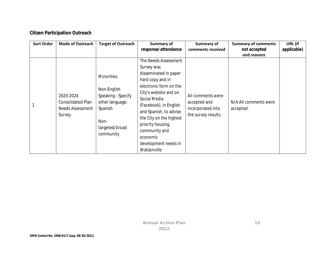# **Citizen Participation Outreach**

| <b>Sort Order</b> | <b>Mode of Outreach</b>                                             | <b>Target of Outreach</b>                                                                                                   | <b>Summary of</b><br>response/attendance                                                                                                                                                                                                                                                                                   | <b>Summary of</b><br>comments received                                        | <b>Summary of comments</b><br>not accepted<br>and reasons | URL (If<br>applicable) |
|-------------------|---------------------------------------------------------------------|-----------------------------------------------------------------------------------------------------------------------------|----------------------------------------------------------------------------------------------------------------------------------------------------------------------------------------------------------------------------------------------------------------------------------------------------------------------------|-------------------------------------------------------------------------------|-----------------------------------------------------------|------------------------|
|                   | 2020-2024<br><b>Consolidated Plan</b><br>Needs Assessment<br>Survey | <b>Minorities</b><br>Non-English<br>Speaking - Specify<br>other language:<br>Spanish<br>Non-<br>targeted/broad<br>community | The Needs Assessment<br>Survey was<br>disseminated in paper<br>hard copy and in<br>electronic form on the<br>City's website and on<br>Social Media<br>(Facebook), in English<br>and Spanish, to advise<br>the City on the highest<br>priority housing,<br>community and<br>economic<br>development needs in<br>Watsonville | All comments were<br>accepted and<br>incorporated into<br>the survey results. | N/A All comments were<br>accepted.                        |                        |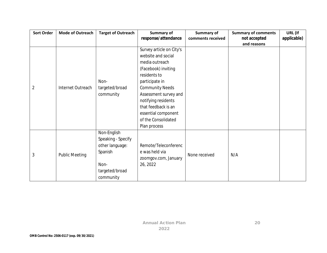| <b>Sort Order</b> | <b>Mode of Outreach</b> | <b>Target of Outreach</b>                                                                              | <b>Summary of</b><br>response/attendance                                                                                                                                                                                                                                                 | <b>Summary of</b><br>comments received | <b>Summary of comments</b><br>not accepted<br>and reasons | URL (If<br>applicable) |
|-------------------|-------------------------|--------------------------------------------------------------------------------------------------------|------------------------------------------------------------------------------------------------------------------------------------------------------------------------------------------------------------------------------------------------------------------------------------------|----------------------------------------|-----------------------------------------------------------|------------------------|
| $\overline{2}$    | Internet Outreach       | Non-<br>targeted/broad<br>community                                                                    | Survey article on City's<br>website and social<br>media outreach<br>(Facebook) inviting<br>residents to<br>participate in<br><b>Community Needs</b><br>Assessment survey and<br>notifying residents<br>that feedback is an<br>essential component<br>of the Consolidated<br>Plan process |                                        |                                                           |                        |
| 3                 | <b>Public Meeting</b>   | Non-English<br>Speaking - Specify<br>other language:<br>Spanish<br>Non-<br>targeted/broad<br>community | Remote/Teleconferenc<br>e was held via<br>zoomgov.com, January<br>26, 2022                                                                                                                                                                                                               | None received                          | N/A                                                       |                        |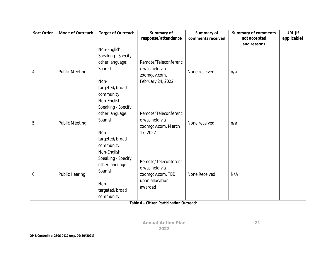| <b>Sort Order</b> | <b>Mode of Outreach</b> | <b>Target of Outreach</b>                                                                              | <b>Summary of</b><br>response/attendance                                                 | <b>Summary of</b><br>comments received | <b>Summary of comments</b><br>not accepted | URL (If<br>applicable) |
|-------------------|-------------------------|--------------------------------------------------------------------------------------------------------|------------------------------------------------------------------------------------------|----------------------------------------|--------------------------------------------|------------------------|
| 4                 | <b>Public Meeting</b>   | Non-English<br>Speaking - Specify<br>other language:<br>Spanish<br>Non-<br>targeted/broad<br>community | Remote/Teleconferenc<br>e was held via<br>zoomgov.com,<br>February 24, 2022              | None received                          | and reasons<br>n/a                         |                        |
| 5                 | <b>Public Meeting</b>   | Non-English<br>Speaking - Specify<br>other language:<br>Spanish<br>Non-<br>targeted/broad<br>community | Remote/Teleconferenc<br>e was held via<br>zoomgov.com, March<br>17, 2022                 | None received                          | n/a                                        |                        |
| 6                 | <b>Public Hearing</b>   | Non-English<br>Speaking - Specify<br>other language:<br>Spanish<br>Non-<br>targeted/broad<br>community | Remote/Teleconferenc<br>e was held via<br>zoomgov.com, TBD<br>upon allocation<br>awarded | None Received                          | N/A                                        |                        |

**Table 4 – Citizen Participation Outreach**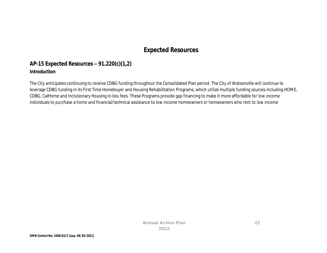# **Expected Resources**

# **AP-15 Expected Resources – 91.220(c)(1,2) Introduction**

The City anticipates continuing to receive CDBG funding throughout the Consolidated Plan period. The City of Watsonville will continue to leverage CDBG funding in its First Time Homebuyer and Housing Rehabilitation Programs, which utilize multiple funding sources including HOME, CDBG, CalHome and Inclusionary Housing in-lieu fees. These Programs provide gap financing to make it more affordable for low income individuals to purchase a home and financial/technical assistance to low income homeowners or homeowners who rent to low income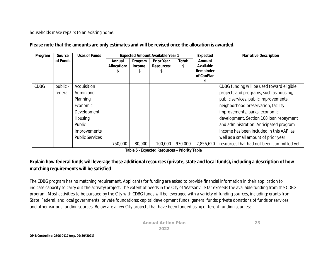households make repairs to an existing home.

| Program     | Source   | <b>Uses of Funds</b>   |             | <b>Expected Amount Available Year 1</b> |                   | <b>Expected</b> | <b>Narrative Description</b> |                                            |
|-------------|----------|------------------------|-------------|-----------------------------------------|-------------------|-----------------|------------------------------|--------------------------------------------|
|             | of Funds |                        | Annual      | Program                                 | <b>Prior Year</b> | Total:          | Amount                       |                                            |
|             |          |                        | Allocation: | Income:                                 | <b>Resources:</b> |                 | Available                    |                                            |
|             |          |                        |             |                                         |                   |                 | Remainder                    |                                            |
|             |          |                        |             |                                         |                   |                 | of ConPlan                   |                                            |
|             |          |                        |             |                                         |                   |                 |                              |                                            |
| <b>CDBG</b> | public - | Acquisition            |             |                                         |                   |                 |                              | CDBG funding will be used toward eligible  |
|             | federal  | Admin and              |             |                                         |                   |                 |                              | projects and programs, such as housing,    |
|             |          | Planning               |             |                                         |                   |                 |                              | public services, public improvements,      |
|             |          | Economic               |             |                                         |                   |                 |                              | neighborhood preservation, facility        |
|             |          | Development            |             |                                         |                   |                 |                              | improvements, parks, economic              |
|             |          | Housing                |             |                                         |                   |                 |                              | development, Section 108 Ioan repayment    |
|             |          | Public                 |             |                                         |                   |                 |                              | and administration. Anticipated program    |
|             |          | <b>Improvements</b>    |             |                                         |                   |                 |                              | income has been included in this AAP, as   |
|             |          | <b>Public Services</b> |             |                                         |                   |                 |                              | well as a small amount of prior year       |
|             |          |                        | 750,000     | 80,000                                  | 100,000           | 930,000         | 2,856,620                    | resources that had not been committed yet. |

**Please note that the amounts are only estimates and will be revised once the allocation is awarded.**

**Table 5 - Expected Resources – Priority Table**

# **Explain how federal funds will leverage those additional resources (private, state and local funds), including a description of how matching requirements will be satisfied**

The CDBG program has no matching requirement. Applicants for funding are asked to provide financial information in their application to indicate capacity to carry out the activity/project. The extent of needs in the City of Watsonville far exceeds the available funding from the CDBG program. Most activities to be pursued by the City with CDBG funds will be leveraged with a variety of funding sources, including: grants from State, Federal, and local governments; private foundations; capital development funds; general funds; private donations of funds or services; and other various funding sources. Below are a few City projects that have been funded using different funding sources;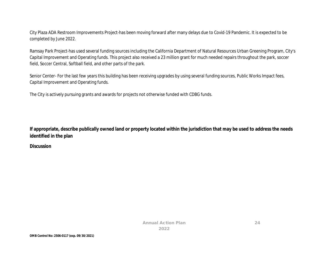City Plaza ADA Restroom Improvements Project-has been moving forward after many delays due to Covid-19 Pandemic. It is expected to be completed by June 2022.

Ramsay Park Project-has used several funding sources including the California Department of Natural Resources Urban Greening Program, City's Capital Improvement and Operating funds. This project also received a 23 million grant for much needed repairs throughout the park, soccer field, Soccer Central, Softball field, and other parts of the park.

Senior Center- For the last few years this building has been receiving upgrades by using several funding sources, Public Works Impact fees, Capital Improvement and Operating funds.

The City is actively pursuing grants and awards for projects not otherwise funded with CDBG funds.

**If appropriate, describe publically owned land or property located within the jurisdiction that may be used to address the needs identified in the plan**

**Discussion**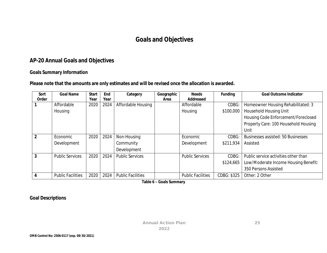# **Goals and Objectives**

# **AP-20 Annual Goals and Objectives**

### **Goals Summary Information**

### **Please note that the amounts are only estimates and will be revised once the allocation is awarded.**

| Sort  | <b>Goal Name</b>         | <b>Start</b> | End  | Category                 | Geographic | <b>Needs</b>             | Funding     | <b>Goal Outcome Indicator</b>        |
|-------|--------------------------|--------------|------|--------------------------|------------|--------------------------|-------------|--------------------------------------|
| Order |                          | Year         | Year |                          | Area       | Addressed                |             |                                      |
|       | Affordable               | 2020         | 2024 | Affordable Housing       |            | Affordable               | CDBG:       | Homeowner Housing Rehabilitated: 3   |
|       | Housing                  |              |      |                          |            | Housing                  | \$100,000   | Household Housing Unit               |
|       |                          |              |      |                          |            |                          |             | Housing Code Enforcement/Foreclosed  |
|       |                          |              |      |                          |            |                          |             | Property Care: 100 Household Housing |
|       |                          |              |      |                          |            |                          |             | Unit                                 |
| 2     | Economic                 | 2020         | 2024 | Non-Housing              |            | Economic                 | CDBG:       | Businesses assisted: 50 Businesses   |
|       | Development              |              |      | Community                |            | Development              | \$211,934   | Assisted                             |
|       |                          |              |      | Development              |            |                          |             |                                      |
| 3     | <b>Public Services</b>   | 2020         | 2024 | <b>Public Services</b>   |            | <b>Public Services</b>   | CDBG:       | Public service activities other than |
|       |                          |              |      |                          |            |                          | \$124,665   | Low/Moderate Income Housing Benefit: |
|       |                          |              |      |                          |            |                          |             | 350 Persons Assisted                 |
|       | <b>Public Facilities</b> | 2020         | 2024 | <b>Public Facilities</b> |            | <b>Public Facilities</b> | CDBG: \$325 | Other: 2 Other                       |

**Table 6 – Goals Summary**

### **Goal Descriptions**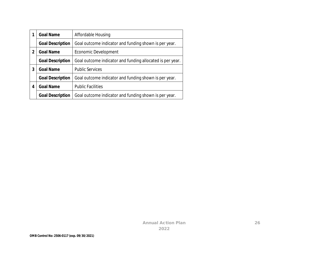| 1 | <b>Goal Name</b>                         | Affordable Housing                                        |  |
|---|------------------------------------------|-----------------------------------------------------------|--|
|   | <b>Goal Description</b>                  | Goal outcome indicator and funding shown is per year.     |  |
| 2 | <b>Goal Name</b><br>Economic Development |                                                           |  |
|   | <b>Goal Description</b>                  | Goal outcome indicator and funding allocated is per year. |  |
| 3 | <b>Goal Name</b>                         | <b>Public Services</b>                                    |  |
|   | <b>Goal Description</b>                  | Goal outcome indicator and funding shown is per year.     |  |
| 4 | <b>Goal Name</b>                         | <b>Public Facilities</b>                                  |  |
|   | <b>Goal Description</b>                  | Goal outcome indicator and funding shown is per year.     |  |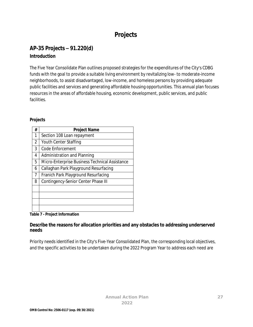# **Projects**

# **AP-35 Projects – 91.220(d) Introduction**

The Five Year Consolidate Plan outlines proposed strategies for the expenditures of the City's CDBG funds with the goal to provide a suitable living environment by revitalizing low- to moderate-income neighborhoods, to assist disadvantaged, low-income, and homeless persons by providing adequate public facilities and services and generating affordable housing opportunities. This annual plan focuses resources in the areas of affordable housing, economic development, public services, and public facilities.

#### **Projects**

| # | <b>Project Name</b>                            |
|---|------------------------------------------------|
| 1 | Section 108 Loan repayment                     |
| 2 | Youth Center Staffing                          |
| 3 | Code Enforcement                               |
| 4 | Administration and Planning                    |
| 5 | Micro-Enterprise Business Technical Assistance |
| 6 | Callaghan Park Playground Resurfacing          |
| 7 | Franich Park Playground Resurfacing            |
| 8 | Contingency-Senior Center Phase III            |
|   |                                                |
|   |                                                |
|   |                                                |
|   |                                                |

**Table 7 - Project Information**

### **Describe the reasons for allocation priorities and any obstacles to addressing underserved needs**

Priority needs identified in the City's Five-Year Consolidated Plan, the corresponding local objectives, and the specific activities to be undertaken during the 2022 Program Year to address each need are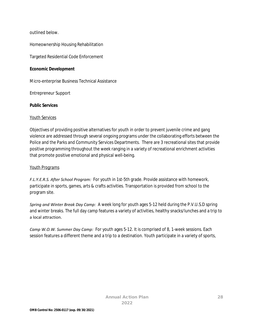outlined below.

Homeownership Housing Rehabilitation

Targeted Residential Code Enforcement

### **Economic Development**

Micro-enterprise Business Technical Assistance

Entrepreneur Support

### **Public Services**

### *Youth Services*

Objectives of providing positive alternatives for youth in order to prevent juvenile crime and gang violence are addressed through several ongoing programs under the collaborating efforts between the Police and the Parks and Community Services Departments. There are 3 recreational sites that provide positive programming throughout the week ranging in a variety of recreational enrichment activities that promote positive emotional and physical well-being.

### *Youth Programs*

*F.L.Y.E.R.S. After School Program:* For youth in 1st-5th grade. Provide assistance with homework, participate in sports, games, arts & crafts activities. Transportation is provided from school to the program site.

*Spring and Winter Break Day Camp:* A week long for youth ages 5-12 held during the P.V.U.S.D spring and winter breaks. The full day camp features a variety of activities, healthy snacks/lunches and a trip to a local attraction.

*Camp W.O.W. Summer Day Camp:* For youth ages 5-12. It is comprised of 8, 1-week sessions. Each session features a different theme and a trip to a destination. Youth participate in a variety of sports,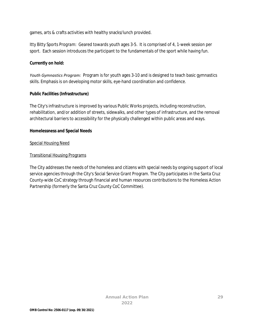games, arts & crafts activities with healthy snacks/lunch provided.

*Itty Bitty Sports Program:* Geared towards youth ages 3-5. It is comprised of 4, 1-week session per sport. Each session introduces the participant to the fundamentals of the sport while having fun.

#### **Currently on hold:**

*Youth Gymnastics Program:* Program is for youth ages 3-10 and is designed to teach basic gymnastics skills. Emphasis is on developing motor skills, eye-hand coordination and confidence.

#### **Public Facilities (Infrastructure)**

The City's infrastructure is improved by various Public Works projects, including reconstruction, rehabilitation, and/or addition of streets, sidewalks, and other types of infrastructure, and the removal architectural barriers to accessibility for the physically challenged within public areas and ways.

#### **Homelessness and Special Needs**

#### Special Housing Need

#### Transitional Housing Programs

The City addresses the needs of the homeless and citizens with special needs by ongoing support of local service agencies through the City's Social Service Grant Program. The City participates in the Santa Cruz County-wide CoC strategy through financial and human resources contributions to the Homeless Action Partnership (formerly the Santa Cruz County CoC Committee).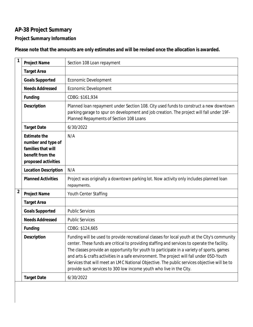# **AP-38 Project Summary**

# **Project Summary Information**

# **Please note that the amounts are only estimates and will be revised once the allocation is awarded.**

| $\mathbf{1}$   | <b>Project Name</b>                                                                                                                                                                                                                                | Section 108 Loan repayment                                                                                                                                                                                                                                                                                                                                                                                                                                                                                                                                   |
|----------------|----------------------------------------------------------------------------------------------------------------------------------------------------------------------------------------------------------------------------------------------------|--------------------------------------------------------------------------------------------------------------------------------------------------------------------------------------------------------------------------------------------------------------------------------------------------------------------------------------------------------------------------------------------------------------------------------------------------------------------------------------------------------------------------------------------------------------|
|                | <b>Target Area</b>                                                                                                                                                                                                                                 |                                                                                                                                                                                                                                                                                                                                                                                                                                                                                                                                                              |
|                | <b>Goals Supported</b>                                                                                                                                                                                                                             | Economic Development                                                                                                                                                                                                                                                                                                                                                                                                                                                                                                                                         |
|                | <b>Needs Addressed</b>                                                                                                                                                                                                                             | Economic Development                                                                                                                                                                                                                                                                                                                                                                                                                                                                                                                                         |
|                | <b>Funding</b>                                                                                                                                                                                                                                     | CDBG: \$161,934                                                                                                                                                                                                                                                                                                                                                                                                                                                                                                                                              |
|                | <b>Description</b><br>Planned Ioan repayment under Section 108. City used funds to construct a new downtown<br>parking garage to spur on development and job creation. The project will fall under 19F-<br>Planned Repayments of Section 108 Loans |                                                                                                                                                                                                                                                                                                                                                                                                                                                                                                                                                              |
|                | <b>Target Date</b>                                                                                                                                                                                                                                 | 6/30/2022                                                                                                                                                                                                                                                                                                                                                                                                                                                                                                                                                    |
|                | <b>Estimate the</b><br>number and type of<br>families that will<br>benefit from the<br>proposed activities                                                                                                                                         | N/A                                                                                                                                                                                                                                                                                                                                                                                                                                                                                                                                                          |
|                | <b>Location Description</b>                                                                                                                                                                                                                        | N/A                                                                                                                                                                                                                                                                                                                                                                                                                                                                                                                                                          |
|                | <b>Planned Activities</b>                                                                                                                                                                                                                          | Project was originally a downtown parking lot. Now activity only includes planned loan<br>repayments.                                                                                                                                                                                                                                                                                                                                                                                                                                                        |
| $\overline{2}$ | <b>Project Name</b>                                                                                                                                                                                                                                | Youth Center Staffing                                                                                                                                                                                                                                                                                                                                                                                                                                                                                                                                        |
|                | <b>Target Area</b>                                                                                                                                                                                                                                 |                                                                                                                                                                                                                                                                                                                                                                                                                                                                                                                                                              |
|                | <b>Goals Supported</b>                                                                                                                                                                                                                             | <b>Public Services</b>                                                                                                                                                                                                                                                                                                                                                                                                                                                                                                                                       |
|                | <b>Needs Addressed</b>                                                                                                                                                                                                                             | <b>Public Services</b>                                                                                                                                                                                                                                                                                                                                                                                                                                                                                                                                       |
|                | <b>Funding</b>                                                                                                                                                                                                                                     | CDBG: \$124,665                                                                                                                                                                                                                                                                                                                                                                                                                                                                                                                                              |
|                | <b>Description</b>                                                                                                                                                                                                                                 | Funding will be used to provide recreational classes for local youth at the City's community<br>center. These funds are critical to providing staffing and services to operate the facility.<br>The classes provide an opportunity for youth to participate in a variety of sports, games<br>and arts & crafts activities in a safe environment. The project will fall under 05D-Youth<br>Services that will meet an LMC National Objective. The public services objective will be to<br>provide such services to 300 low income youth who live in the City. |
|                | <b>Target Date</b>                                                                                                                                                                                                                                 | 6/30/2022                                                                                                                                                                                                                                                                                                                                                                                                                                                                                                                                                    |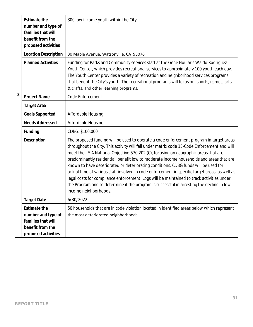| <b>Estimate the</b><br>number and type of<br>families that will<br>benefit from the<br>proposed activities |                                                                                                            | 300 low income youth within the City                                                                                                                                                                                                                                                                                                                                                                                                                                                                                                                                                                                                                                                                                                                                                |
|------------------------------------------------------------------------------------------------------------|------------------------------------------------------------------------------------------------------------|-------------------------------------------------------------------------------------------------------------------------------------------------------------------------------------------------------------------------------------------------------------------------------------------------------------------------------------------------------------------------------------------------------------------------------------------------------------------------------------------------------------------------------------------------------------------------------------------------------------------------------------------------------------------------------------------------------------------------------------------------------------------------------------|
|                                                                                                            | <b>Location Description</b>                                                                                | 30 Maple Avenue, Watsonville, CA 95076                                                                                                                                                                                                                                                                                                                                                                                                                                                                                                                                                                                                                                                                                                                                              |
|                                                                                                            | <b>Planned Activities</b>                                                                                  | Funding for Parks and Community services staff at the Gene Hoularis Waldo Rodriguez<br>Youth Center, which provides recreational services to approximately 100 youth each day.<br>The Youth Center provides a variety of recreation and neighborhood services programs<br>that benefit the City's youth. The recreational programs will focus on, sports, games, arts<br>& crafts, and other learning programs.                                                                                                                                                                                                                                                                                                                                                                     |
| $\overline{\mathbf{3}}$                                                                                    | <b>Project Name</b>                                                                                        | Code Enforcement                                                                                                                                                                                                                                                                                                                                                                                                                                                                                                                                                                                                                                                                                                                                                                    |
|                                                                                                            | <b>Target Area</b>                                                                                         |                                                                                                                                                                                                                                                                                                                                                                                                                                                                                                                                                                                                                                                                                                                                                                                     |
|                                                                                                            | <b>Goals Supported</b>                                                                                     | Affordable Housing                                                                                                                                                                                                                                                                                                                                                                                                                                                                                                                                                                                                                                                                                                                                                                  |
|                                                                                                            | <b>Needs Addressed</b>                                                                                     | Affordable Housing                                                                                                                                                                                                                                                                                                                                                                                                                                                                                                                                                                                                                                                                                                                                                                  |
|                                                                                                            | <b>Funding</b>                                                                                             | CDBG: \$100,000                                                                                                                                                                                                                                                                                                                                                                                                                                                                                                                                                                                                                                                                                                                                                                     |
|                                                                                                            | <b>Description</b>                                                                                         | The proposed funding will be used to operate a code enforcement program in target areas<br>throughout the City. This activity will fall under matrix code 15-Code Enforcement and will<br>meet the LMA National Objective-570.202 (C), focusing on geographic areas that are<br>predominantly residential, benefit low to moderate income households and areas that are<br>known to have deteriorated or deteriorating conditions. CDBG funds will be used for<br>actual time of various staff involved in code enforcement in specific target areas, as well as<br>legal costs for compliance enforcement. Logs will be maintained to track activities under<br>the Program and to determine if the program is successful in arresting the decline in low<br>income neighborhoods. |
|                                                                                                            | <b>Target Date</b>                                                                                         | 6/30/2022                                                                                                                                                                                                                                                                                                                                                                                                                                                                                                                                                                                                                                                                                                                                                                           |
|                                                                                                            | <b>Estimate the</b><br>number and type of<br>families that will<br>benefit from the<br>proposed activities | 50 households that are in code violation located in identified areas below which represent<br>the most deteriorated neighborhoods.                                                                                                                                                                                                                                                                                                                                                                                                                                                                                                                                                                                                                                                  |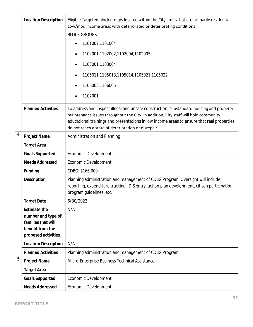|   | <b>Location Description</b>                                                                                | Eligible Targeted block groups located within the City limits that are primarily residential<br>Low/mod income areas with deteriorated or deteriorating conditions;<br><b>BLOCK GROUPS</b>                                                                                                                                           |  |  |
|---|------------------------------------------------------------------------------------------------------------|--------------------------------------------------------------------------------------------------------------------------------------------------------------------------------------------------------------------------------------------------------------------------------------------------------------------------------------|--|--|
|   |                                                                                                            | 1101002,1101004                                                                                                                                                                                                                                                                                                                      |  |  |
|   |                                                                                                            |                                                                                                                                                                                                                                                                                                                                      |  |  |
|   |                                                                                                            | 1102001,1102002,1102004,1102005                                                                                                                                                                                                                                                                                                      |  |  |
|   |                                                                                                            | 1103001,1103004                                                                                                                                                                                                                                                                                                                      |  |  |
|   |                                                                                                            | 1105011,1105013,1105014,1105021,1105022                                                                                                                                                                                                                                                                                              |  |  |
|   |                                                                                                            | 1106003,1106005                                                                                                                                                                                                                                                                                                                      |  |  |
|   |                                                                                                            | 1107001                                                                                                                                                                                                                                                                                                                              |  |  |
|   | <b>Planned Activities</b>                                                                                  | To address and inspect illegal and unsafe construction, substandard housing and property<br>maintenance issues throughout the City. In addition, City staff will hold community<br>educational trainings and presentations in low income areas to ensure that real properties<br>do not reach a state of deterioration or disrepair. |  |  |
| 4 | <b>Project Name</b>                                                                                        | Administration and Planning                                                                                                                                                                                                                                                                                                          |  |  |
|   | <b>Target Area</b>                                                                                         |                                                                                                                                                                                                                                                                                                                                      |  |  |
|   | <b>Goals Supported</b>                                                                                     | Economic Development                                                                                                                                                                                                                                                                                                                 |  |  |
|   | <b>Needs Addressed</b>                                                                                     | Economic Development                                                                                                                                                                                                                                                                                                                 |  |  |
|   | <b>Funding</b>                                                                                             | CDBG: \$166,000                                                                                                                                                                                                                                                                                                                      |  |  |
|   | <b>Description</b>                                                                                         | Planning administration and management of CDBG Program. Oversight will include<br>reporting, expenditure tracking, IDIS entry, action plan development, citizen participation,<br>program guidelines, etc.                                                                                                                           |  |  |
|   | Target Date                                                                                                | 6/30/2022                                                                                                                                                                                                                                                                                                                            |  |  |
|   | <b>Estimate the</b><br>number and type of<br>families that will<br>benefit from the<br>proposed activities | N/A                                                                                                                                                                                                                                                                                                                                  |  |  |
|   | <b>Location Description</b>                                                                                | N/A                                                                                                                                                                                                                                                                                                                                  |  |  |
|   | <b>Planned Activities</b>                                                                                  | Planning administration and management of CDBG Program.                                                                                                                                                                                                                                                                              |  |  |
| 5 | <b>Project Name</b>                                                                                        | Micro-Enterprise Business Technical Assistance                                                                                                                                                                                                                                                                                       |  |  |
|   | <b>Target Area</b>                                                                                         |                                                                                                                                                                                                                                                                                                                                      |  |  |
|   | <b>Goals Supported</b>                                                                                     | Economic Development                                                                                                                                                                                                                                                                                                                 |  |  |
|   | <b>Needs Addressed</b>                                                                                     | Economic Development                                                                                                                                                                                                                                                                                                                 |  |  |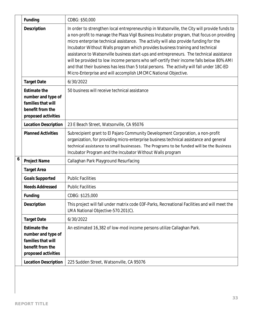| <b>Funding</b><br>CDBG: \$50,000                                                                                                                            |                                                                                                            |                                                                                                                                                                                                                                                                                                                                                                                                                                                                                                                                                                                                                                                                                                                               |
|-------------------------------------------------------------------------------------------------------------------------------------------------------------|------------------------------------------------------------------------------------------------------------|-------------------------------------------------------------------------------------------------------------------------------------------------------------------------------------------------------------------------------------------------------------------------------------------------------------------------------------------------------------------------------------------------------------------------------------------------------------------------------------------------------------------------------------------------------------------------------------------------------------------------------------------------------------------------------------------------------------------------------|
| <b>Description</b>                                                                                                                                          |                                                                                                            | In order to strengthen local entrepreneurship in Watsonville, the City will provide funds to<br>a non-profit to manage the Plaza Vigil Business Incubator program, that focus on providing<br>micro enterprise technical assistance. The activity will also provide funding for the<br>Incubator Without Walls program which provides business training and technical<br>assistance to Watsonville business start-ups and entrepreneurs. The technical assistance<br>will be provided to low income persons who self-certify their income falls below 80% AMI<br>and that their business has less than 5 total persons. The activity will fall under 18C-ED<br>Micro-Enterprise and will accomplish LMCMC National Objective. |
|                                                                                                                                                             | <b>Target Date</b>                                                                                         | 6/30/2022                                                                                                                                                                                                                                                                                                                                                                                                                                                                                                                                                                                                                                                                                                                     |
| <b>Estimate the</b><br>50 business will receive technical assistance<br>number and type of<br>families that will<br>benefit from the<br>proposed activities |                                                                                                            |                                                                                                                                                                                                                                                                                                                                                                                                                                                                                                                                                                                                                                                                                                                               |
|                                                                                                                                                             | <b>Location Description</b>                                                                                | 23 E Beach Street, Watsonville, CA 95076                                                                                                                                                                                                                                                                                                                                                                                                                                                                                                                                                                                                                                                                                      |
|                                                                                                                                                             | <b>Planned Activities</b>                                                                                  | Subrecipient grant to El Pajaro Community Development Corporation, a non-profit<br>organization, for providing micro-enterprise business technical assistance and general<br>technical assistance to small businesses. The Programs to be funded will be the Business<br>Incubator Program and the Incubator Without Walls program                                                                                                                                                                                                                                                                                                                                                                                            |
| $\boldsymbol{6}$                                                                                                                                            | <b>Project Name</b>                                                                                        | Callaghan Park Playground Resurfacing                                                                                                                                                                                                                                                                                                                                                                                                                                                                                                                                                                                                                                                                                         |
|                                                                                                                                                             | <b>Target Area</b>                                                                                         |                                                                                                                                                                                                                                                                                                                                                                                                                                                                                                                                                                                                                                                                                                                               |
|                                                                                                                                                             | <b>Goals Supported</b>                                                                                     | <b>Public Facilities</b>                                                                                                                                                                                                                                                                                                                                                                                                                                                                                                                                                                                                                                                                                                      |
|                                                                                                                                                             | <b>Needs Addressed</b>                                                                                     | <b>Public Facilities</b>                                                                                                                                                                                                                                                                                                                                                                                                                                                                                                                                                                                                                                                                                                      |
|                                                                                                                                                             | <b>Funding</b>                                                                                             | CDBG: \$125,000                                                                                                                                                                                                                                                                                                                                                                                                                                                                                                                                                                                                                                                                                                               |
|                                                                                                                                                             | <b>Description</b>                                                                                         | This project will fall under matrix code 03F-Parks, Recreational Facilities and will meet the<br>LMA National Objective-570.201(C).                                                                                                                                                                                                                                                                                                                                                                                                                                                                                                                                                                                           |
|                                                                                                                                                             | <b>Target Date</b>                                                                                         | 6/30/2022                                                                                                                                                                                                                                                                                                                                                                                                                                                                                                                                                                                                                                                                                                                     |
|                                                                                                                                                             | <b>Estimate the</b><br>number and type of<br>families that will<br>benefit from the<br>proposed activities | An estimated 16,382 of low-mod income persons utilize Callaghan Park.                                                                                                                                                                                                                                                                                                                                                                                                                                                                                                                                                                                                                                                         |
|                                                                                                                                                             | <b>Location Description</b>                                                                                | 225 Sudden Street, Watsonville, CA 95076                                                                                                                                                                                                                                                                                                                                                                                                                                                                                                                                                                                                                                                                                      |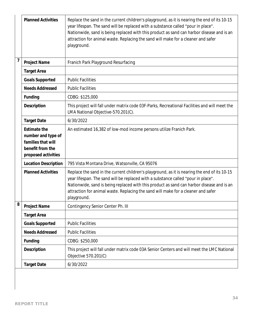|                | <b>Planned Activities</b>                                                                                  | Replace the sand in the current children's playground, as it is nearing the end of its 10-15<br>year lifespan. The sand will be replaced with a substance called "pour in place".<br>Nationwide, sand is being replaced with this product as sand can harbor disease and is an<br>attraction for animal waste. Replacing the sand will make for a cleaner and safer<br>playground. |
|----------------|------------------------------------------------------------------------------------------------------------|------------------------------------------------------------------------------------------------------------------------------------------------------------------------------------------------------------------------------------------------------------------------------------------------------------------------------------------------------------------------------------|
| $\overline{7}$ | <b>Project Name</b>                                                                                        | Franich Park Playground Resurfacing                                                                                                                                                                                                                                                                                                                                                |
|                | <b>Target Area</b>                                                                                         |                                                                                                                                                                                                                                                                                                                                                                                    |
|                | <b>Goals Supported</b>                                                                                     | <b>Public Facilities</b>                                                                                                                                                                                                                                                                                                                                                           |
|                | <b>Needs Addressed</b>                                                                                     | <b>Public Facilities</b>                                                                                                                                                                                                                                                                                                                                                           |
|                | <b>Funding</b>                                                                                             | CDBG: \$125,000                                                                                                                                                                                                                                                                                                                                                                    |
|                | <b>Description</b>                                                                                         | This project will fall under matrix code 03F-Parks, Recreational Facilities and will meet the<br>LMA National Objective-570.201(C).                                                                                                                                                                                                                                                |
|                | <b>Target Date</b>                                                                                         | 6/30/2022                                                                                                                                                                                                                                                                                                                                                                          |
|                | <b>Estimate the</b><br>number and type of<br>families that will<br>benefit from the<br>proposed activities | An estimated 16,382 of low-mod income persons utilize Franich Park.                                                                                                                                                                                                                                                                                                                |
|                | <b>Location Description</b>                                                                                | 795 Vista Montana Drive, Watsonville, CA 95076                                                                                                                                                                                                                                                                                                                                     |
|                | <b>Planned Activities</b>                                                                                  | Replace the sand in the current children's playground, as it is nearing the end of its 10-15<br>year lifespan. The sand will be replaced with a substance called "pour in place".<br>Nationwide, sand is being replaced with this product as sand can harbor disease and is an<br>attraction for animal waste. Replacing the sand will make for a cleaner and safer<br>playground. |
| 8              | <b>Project Name</b>                                                                                        | Contingency Senior Center Ph. III                                                                                                                                                                                                                                                                                                                                                  |
|                | <b>Target Area</b>                                                                                         |                                                                                                                                                                                                                                                                                                                                                                                    |
|                | <b>Goals Supported</b>                                                                                     | <b>Public Facilities</b>                                                                                                                                                                                                                                                                                                                                                           |
|                | <b>Needs Addressed</b>                                                                                     | <b>Public Facilities</b>                                                                                                                                                                                                                                                                                                                                                           |
|                | <b>Funding</b>                                                                                             | CDBG: \$250,000                                                                                                                                                                                                                                                                                                                                                                    |
|                | <b>Description</b>                                                                                         | This project will fall under matrix code 03A Senior Centers and will meet the LMC National<br>Objective 570.201(C)                                                                                                                                                                                                                                                                 |
|                | <b>Target Date</b>                                                                                         | 6/30/2022                                                                                                                                                                                                                                                                                                                                                                          |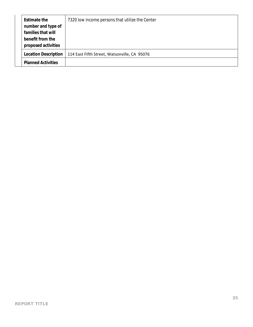| <b>Estimate the</b><br>number and type of<br>families that will<br>benefit from the<br>proposed activities | 7320 low income persons that utilize the Center |
|------------------------------------------------------------------------------------------------------------|-------------------------------------------------|
| <b>Location Description</b>                                                                                | 114 East Fifth Street, Watsonville, CA 95076    |
| <b>Planned Activities</b>                                                                                  |                                                 |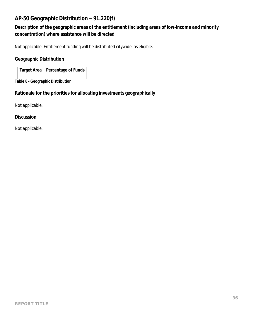# **AP-50 Geographic Distribution – 91.220(f)**

### **Description of the geographic areas of the entitlement (including areas of low-income and minority concentration) where assistance will be directed**

Not applicable. Entitlement funding will be distributed citywide, as eligible.

### **Geographic Distribution**

| Target Area   Percentage of Funds |
|-----------------------------------|
|                                   |

**Table 8 - Geographic Distribution**

### **Rationale for the priorities for allocating investments geographically**

Not applicable.

### **Discussion**

Not applicable.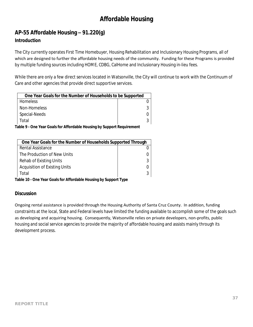# **Affordable Housing**

# **AP-55 Affordable Housing – 91.220(g)**

### **Introduction**

The City currently operates First Time Homebuyer, Housing Rehabilitation and Inclusionary Housing Programs, all of which are designed to further the affordable housing needs of the community. Funding for these Programs is provided by multiple funding sources including HOME, CDBG, CalHome and Inclusionary Housing in-lieu fees.

While there are only a few direct services located in Watsonville, the City will continue to work with the Continuum of Care and other agencies that provide direct supportive services.

| One Year Goals for the Number of Households to be Supported |  |  |
|-------------------------------------------------------------|--|--|
| <b>Homeless</b>                                             |  |  |
| Non-Homeless                                                |  |  |
| Special-Needs                                               |  |  |
| Total                                                       |  |  |

**Table 9 - One Year Goals for Affordable Housing by Support Requirement**

| One Year Goals for the Number of Households Supported Through           |  |  |  |  |
|-------------------------------------------------------------------------|--|--|--|--|
| Rental Assistance                                                       |  |  |  |  |
| The Production of New Units                                             |  |  |  |  |
| Rehab of Existing Units                                                 |  |  |  |  |
| Acquisition of Existing Units                                           |  |  |  |  |
| Total                                                                   |  |  |  |  |
| akta 40 - Oran Vann Charles fran Affandakta Harreton kristinianut Tiron |  |  |  |  |

**Table 10 - One Year Goals for Affordable Housing by Support Type**

### **Discussion**

Ongoing rental assistance is provided through the Housing Authority of Santa Cruz County. In addition, funding constraints at the local, State and Federal levels have limited the funding available to accomplish some of the goals such as developing and acquiring housing. Consequently, Watsonville relies on private developers, non-profits, public housing and social service agencies to provide the majority of affordable housing and assists mainly through its development process.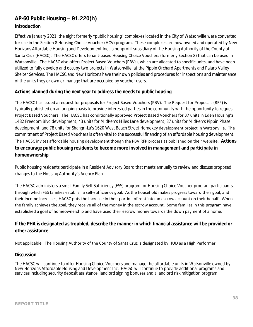# **AP-60 Public Housing** *–* **91.220(h)**

### **Introduction**

Effective January 2021, the eight formerly "public housing" complexes located in the City of Watsonville were converted for use in the Section 8 Housing Choice Voucher (HCV) program. These complexes are now owned and operated by New Horizons Affordable Housing and Development Inc., a nonprofit subsidiary of the Housing Authority of the County of Santa Cruz (HACSC). The HACSC offers tenant-based Housing Choice Vouchers (formerly Section 8) that can be used in Watsonville. The HACSC also offers Project Based Vouchers (PBVs), which are allocated to specific units, and have been utilized to fully develop and occupy two projects in Watsonville, at the Pippin Orchard Apartments and Pajaro Valley Shelter Services. The HACSC and New Horizons have their own policies and procedures for inspections and maintenance of the units they or own or manage that are occupied by voucher users.

### **Actions planned during the next year to address the needs to public housing**

The HACSC has issued a request for proposals for Project Based Vouchers (PBV). The Request for Proposals (RFP) is typically published on an ongoing basis to provide interested parties in the community with the opportunity to request Project Based Vouchers. The HACSC has conditionally approved Project Based Vouchers for 37 units in Eden Housing's 1482 Freedom Blvd development, 43 units for MidPen's Miles Lane development, 37 units for MidPen's Pippin Phase II development, and 78 units for Shangri-La's 1620 West Beach Street Homekey development project in Watsonville. The commitment of Project Based Vouchers is often vital to the successful financing of an affordable housing development. The HACSC invites affordable housing development though the PBV RFP process as published on their website. **Actions to encourage public housing residents to become more involved in management and participate in homeownership**

Public housing residents participate in a Resident Advisory Board that meets annually to review and discuss proposed changes to the Housing Authority's Agency Plan.

The HACSC administers a small Family Self Sufficiency (FSS) program for Housing Choice Voucher program participants, through which FSS families establish a self-sufficiency goal. As the household makes progress toward their goal, and their income increases, HACSC puts the increase in their portion of rent into an escrow account on their behalf. When the family achieves the goal, they receive all of the money in the escrow account. Some families in this program have established a goal of homeownership and have used their escrow money towards the down payment of a home.

### **If the PHA is designated as troubled, describe the manner in which financial assistance will be provided or other assistance**

Not applicable. The Housing Authority of the County of Santa Cruz is designated by HUD as a High Performer.

### **Discussion**

The HACSC will continue to offer Housing Choice Vouchers and manage the affordable units in Watsonville owned by New Horizons Affordable Housing and Development Inc. HACSC will continue to provide additional programs and services including security deposit assistance, landlord signing bonuses and a landlord risk mitigation program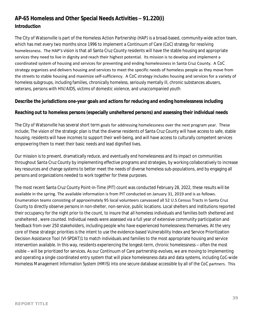# **AP-65 Homeless and Other Special Needs Activities – 91.220(i) Introduction**

The City of Watsonville is part of the Homeless Action Partnership (HAP) is a broad-based, community-wide action team, which has met every two months since 1996 to implement a Continuum of Care (CoC) strategy for resolving homelessness. The HAP's vision is that all Santa Cruz County residents will have the stable housing and appropriate services they need to live in dignity and reach their highest potential. Its mission is to develop and implement a coordinated system of housing and services for preventing and ending homelessness in Santa Cruz County. A CoC strategy organizes and delivers housing and services to meet the specific needs of homeless people as they move from the streets to stable housing and maximize self-sufficiency. A CoC strategy includes housing and services for a variety of homeless subgroups, including families, chronically homeless, seriously mentally ill, chronic substances abusers, veterans, persons with HIV/AIDS, victims of domestic violence, and unaccompanied youth

### **Describe the jurisdictions one-year goals and actions for reducing and ending homelessness including**

### **Reaching out to homeless persons (especially unsheltered persons) and assessing their individual needs**

The City of Watsonville has several short term goals for addressing homelessness over the next program year. These include; The vision of the strategic plan is that the diverse residents of Santa Cruz County will have access to safe, stable housing, residents will have incomes to support their well-being, and will have access to culturally competent services empowering them to meet their basic needs and lead dignified lives.

Our mission is to prevent, dramatically reduce, and eventually end homelessness and its impact on communities throughout Santa Cruz County by implementing effective programs and strategies, by working collaboratively to increase key resources and change systems to better meet the needs of diverse homeless sub-populations, and by engaging all persons and organizations needed to work together for these purposes.

The most recent Santa Cruz County Point-in-Time (PIT) count was conducted February 28, 2022, these results will be available in the spring. The available information is from PIT conducted on January 31, 2019 and is as follows. Enumeration teams consisting of approximately 95 local volunteers canvassed all 52 U.S Census Tracts in Santa Cruz County to directly observe persons in non-shelter, non-service, public locations. Local shelters and institutions reported their occupancy for the night prior to the count, to insure that all homeless individuals and families both sheltered and unsheltered , were counted. Individual needs were assessed via a full year of extensive community participation and feedback from over 250 stakeholders, including people who have experienced homelessness themselves. At the very core of these strategic priorities is the intent to use the evidence-based Vulnerability Index and Service Prioritization Decision Assistance Tool (VI-SPDAT)1 to match individuals and families to the most appropriate housing and service intervention available. In this way, residents experiencing the longest-term, chronic homelessness – often the most visible – will be prioritized for services. As our Continuum of Care partnership evolves, we are moving to Implementing and operating a single coordinated entry system that will place homelessness data and data systems, including CoC-wide Homeless Management Information System (HMIS) into one secure database accessible by all of the CoC partners. This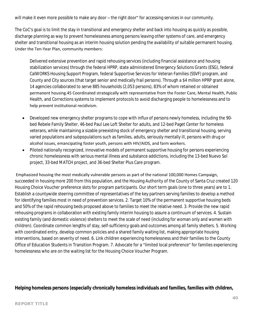will make it even more possible to make any door – the right door" for accessing services in our community.

The CoC's goal is to limit the stay in transitional and emergency shelter and back into housing as quickly as possible, discharge planning as way to prevent homelessness among persons leaving other systems of care, and emergency shelter and transitional housing as an interim housing solution pending the availability of suitable permanent housing. Under the Ten-Year Plan, community members:

Delivered extensive prevention and rapid rehousing services (including financial assistance and housing stabilization services) through the federal HPRP, state administered Emergency Solutions Grants (ESG), federal CalWORKS Housing Support Program, federal Supportive Services for Veteran Families (SSVF) program, and County and City sources (that target senior and medically frail persons). Through a \$4 million HPRP grant alone, 14 agencies collaborated to serve 885 households (2,053 persons), 83% of whom retained or obtained permanent housing.45 Coordinated strategically with representative from the Foster Care, Mental Health, Public Health, and Corrections systems to implement protocols to avoid discharging people to homelessness and to help prevent institutional recidivism.

- Developed new emergency shelter programs to cope with influx of persons newly homeless, including the 90 bed Rebele Family Shelter, 46-bed Paul Lee Loft Shelter for adults, and 12-bed Paget Center for homeless veterans, while maintaining a sizable preexisting stock of emergency shelter and transitional housing, serving varied populations and subpopulations such as families, adults, seriously mentally ill, persons with drug or alcohol issues, emancipating foster youth, persons with HIV/AIDS, and farm workers.
- Piloted nationally recognized, innovative models of permanent supportive housing for persons experiencing chronic homelessness with serious mental illness and substance addictions, including the 13-bed Nuevo Sol project, 33-bed MATCH project, and 36-bed Shelter Plus Care program.

 Emphasized housing the most medically vulnerable persons as part of the national 100,000 Homes Campaign, succeeded in housing more 200 from this population, and the Housing Authority of the County of Santa Cruz created 120 Housing Choice Voucher preference slots for program participants. Our short term goals (one to three years) are to 1. Establish a countywide steering committee of representatives of the key partners serving families to develop a method for identifying families most in need of prevention services. 2. Target 10% of the permanent supportive housing beds and 50% of the rapid rehousing beds proposed above to families to meet the relative need. 3. Provide the new rapid rehousing programs in collaboration with existing family interim housing to assure a continuum of services. 4. Sustain existing family (and domestic violence) shelters to meet the scale of need (including for woman only and women with children). Coordinate common lengths of stay, self-sufficiency goals and outcomes among all family shelters. 5. Working with coordinated entry, develop common policies and a shared family waiting list, making appropriate housing interventions, based on severity of need. 6. Link children experiencing homelessness and their families to the County Office of Education Students in Transition Program. 7. Advocate for a "limited local preference" for families experiencing homelessness who are on the waiting list for the Housing Choice Voucher Program.

### **Helping homeless persons (especially chronically homeless individuals and families, families with children,**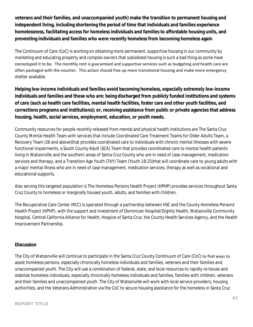**veterans and their families, and unaccompanied youth) make the transition to permanent housing and independent living, including shortening the period of time that individuals and families experience homelessness, facilitating access for homeless individuals and families to affordable housing units, and preventing individuals and families who were recently homeless from becoming homeless again**

The Continuum of Care (CoC) is working on obtaining more permanent, supportive housing in our community by marketing and educating property and complex owners that subsidized housing is such a bad thing as some have stereotyped it to be. The monthly rent is guaranteed and supportive services such as budgeting and health care are often packaged with the voucher. This action should free up more transitional housing and make more emergency shelter available.

**Helping low-income individuals and families avoid becoming homeless, especially extremely low-income individuals and families and those who are: being discharged from publicly funded institutions and systems of care (such as health care facilities, mental health facilities, foster care and other youth facilities, and corrections programs and institutions); or, receiving assistance from public or private agencies that address housing, health, social services, employment, education, or youth needs.**

Community resources for people recently released from mental and physical health institutions are The Santa Cruz County Mental Health Team with services that include Coordinated Care Treatment Teams for Older Adults Team, a Recovery Team (26 and above)that provides coordinated care to individuals with chronic mental illnesses with severe functional impairments, a South County Adult (SCA) Team that provides coordinated care to mental health patients living in Watsonville and the southern areas of Santa Cruz County who are in need of case management, medication services and therapy, and a Transition Age Youth (TAY) Team (Youth 18-25)that will coordinate care to young adults with a major mental illness who are in need of case management, medication services, therapy as well as vocational and educational supports.

Also serving this targeted population is The Homeless Persons Health Project (HPHP) provides services throughout Santa Cruz County to homeless or marginally housed youth, adults, and families with children.

The Recuperative Care Center (RCC) is operated through a partnership between HSC and the County Homeless Persons' Health Project (HPHP), with the support and investment of Dominican Hospital/Dignity Health, Watsonville Community Hospital, Central California Alliance for Health, Hospice of Santa Cruz, the County Health Services Agency, and the Health Improvement Partnership.

### **Discussion**

The City of Watsonville will continue to participate in the Santa Cruz County Continuum of Care (CoC) to find ways to assist homeless persons, especially chronically homeless individuals and families, veterans and their families and unaccompanied youth. The City will use a combination of federal, state, and local resources to rapidly re-house and stabilize homeless individuals, especially chronically homeless individuals and families, families with children, veterans and their families and unaccompanied youth. The City of Watsonville will work with local service providers, housing authorities, and the Veterans Administration via the CoC to secure housing assistance for the homeless in Santa Cruz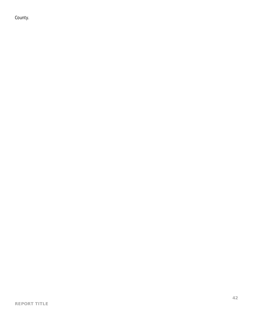County.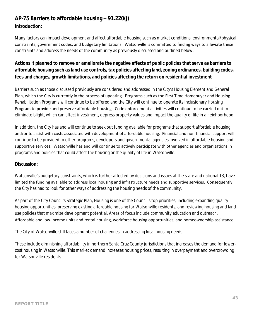# **AP-75 Barriers to affordable housing – 91.220(j) Introduction:**

Many factors can impact development and affect affordable housing such as market conditions, environmental/physical constraints, government codes, and budgetary limitations. Watsonville is committed to finding ways to alleviate these constraints and address the needs of the community as previously discussed and outlined below.

### **Actions it planned to remove or ameliorate the negative effects of public policies that serve as barriers to affordable housing such as land use controls, tax policies affecting land, zoning ordinances, building codes, fees and charges, growth limitations, and policies affecting the return on residential investment**

Barriers such as those discussed previously are considered and addressed in the City's Housing Element and General Plan, which the City is currently in the process of updating. Programs such as the First Time Homebuyer and Housing Rehabilitation Programs will continue to be offered and the City will continue to operate its Inclusionary Housing Program to provide and preserve affordable housing. Code enforcement activities will continue to be carried out to eliminate blight, which can affect investment, depress property values and impact the quality of life in a neighborhood.

In addition, the City has and will continue to seek out funding available for programs that support affordable housing and/or to assist with costs associated with development of affordable housing. Financial and non-financial support will continue to be provided to other programs, developers and governmental agencies involved in affordable housing and supportive services. Watsonville has and will continue to actively participate with other agencies and organizations in programs and policies that could affect the housing or the quality of life in Watsonville.

### **Discussion:**

Watsonville's budgetary constraints, which is further affected by decisions and issues at the state and national 13, have limited the funding available to address local housing and infrastructure needs and supportive services. Consequently, the City has had to look for other ways of addressing the housing needs of the community.

As part of the City Council's Strategic Plan, Housing is one of the Council's top priorities, including expanding quality housing opportunities, preserving existing affordable housing for Watsonville residents, and reviewing housing and land use policies that maximize development potential. Areas of focus include community education and outreach, Affordable and low-income units and rental housing, workforce housing opportunities, and homeownership assistance.

The City of Watsonville still faces a number of challenges in addressing local housing needs.

These include diminishing affordability in northern Santa Cruz County jurisdictions that increases the demand for lowercost housing in Watsonville. This market demand increases housing prices, resulting in overpayment and overcrowding for Watsonville residents.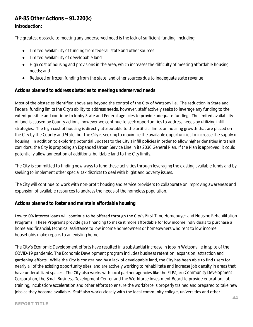# **AP-85 Other Actions – 91.220(k)**

### **Introduction:**

The greatest obstacle to meeting any underserved need is the lack of sufficient funding, including:

- Limited availability of funding from federal, state and other sources
- Limited availability of developable land
- High cost of housing and provisions in the area, which increases the difficulty of meeting affordable housing needs; and
- Reduced or frozen funding from the state, and other sources due to inadequate state revenue

### **Actions planned to address obstacles to meeting underserved needs**

Most of the obstacles identified above are beyond the control of the City of Watsonville. The reduction in State and Federal funding limits the City's ability to address needs, however, staff actively seeks to leverage any funding to the extent possible and continue to lobby State and Federal agencies to provide adequate funding. The limited availability of land is caused by County actions, however we continue to seek opportunities to address needs by utilizing infill strategies. The high cost of housing is directly attributable to the artificial limits on housing growth that are placed on the City by the County and State, but the City is seeking to maximize the available opportunities to increase the supply of housing. In addition to exploring potential updates to the City's infill policies in order to allow higher densities in transit corridors, the City is proposing an Expanded Urban Service Line in its 2030 General Plan. If the Plan is approved, it could potentially allow annexation of additional buildable land to the City limits.

The City is committed to finding new ways to fund these activities through leveraging the existing available funds and by seeking to implement other special tax districts to deal with blight and poverty issues.

The City will continue to work with non-profit housing and service providers to collaborate on improving awareness and expansion of available resources to address the needs of the homeless population.

### **Actions planned to foster and maintain affordable housing**

Low to 0% interest loans will continue to be offered through the City's First Time Homebuyer and Housing Rehabilitation Programs. These Programs provide gap financing to make it more affordable for low income individuals to purchase a home and financial/technical assistance to low income homeowners or homeowners who rent to low income households make repairs to an existing home.

The City's Economic Development efforts have resulted in a substantial increase in jobs in Watsonville in spite of the COVID-19 pandemic. The Economic Development program includes business retention, expansion, attraction and gardening efforts. While the City is constrained by a lack of developable land, the City has been able to find users for nearly all of the existing opportunity sites, and are actively working to rehabilitate and increase job density in areas that have underutilized spaces. The City also works with local partner agencies like the El Pájaro Community Development Corporation, the Small Business Development Center and the Workforce Investment Board to provide education, job training, incubation/acceleration and other efforts to ensure the workforce is properly trained and prepared to take new jobs as they become available. Staff also works closely with the local community college, universities and other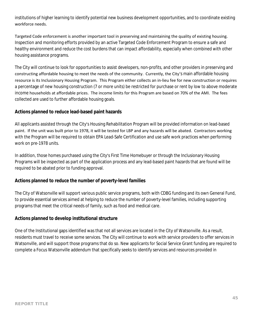institutions of higher learning to identify potential new business development opportunities, and to coordinate existing workforce needs.

Targeted Code enforcement is another important tool in preserving and maintaining the quality of existing housing. Inspection and monitoring efforts provided by an active Targeted Code Enforcement Program to ensure a safe and healthy environment and reduce the cost burdens that can impact affordability, especially when combined with other housing assistance programs.

The City will continue to look for opportunities to assist developers, non-profits, and other providers in preserving and constructing affordable housing to meet the needs of the community. Currently, the City's main affordable housing resource is its Inclusionary Housing Program. This Program either collects an in-lieu fee for new construction or requires a percentage of new housing construction (7 or more units) be restricted for purchase or rent by low to above moderate income households at affordable prices. The income limits for this Program are based on 70% of the AMI. The fees collected are used to further affordable housing goals.

### **Actions planned to reduce lead-based paint hazards**

All applicants assisted through the City's Housing Rehabilitation Program will be provided information on lead-based paint. If the unit was built prior to 1978, it will be tested for LBP and any hazards will be abated. Contractors working with the Program will be required to obtain EPA Lead-Safe Certification and use safe work practices when performing work on pre-1978 units.

In addition, those homes purchased using the City's First Time Homebuyer or through the Inclusionary Housing Programs will be inspected as part of the application process and any lead-based paint hazards that are found will be required to be abated prior to funding approval.

### **Actions planned to reduce the number of poverty-level families**

The City of Watsonville will support various public service programs, both with CDBG funding and its own General Fund, to provide essential services aimed at helping to reduce the number of poverty-level families, including supporting programs that meet the critical needs of family, such as food and medical care.

### **Actions planned to develop institutional structure**

One of the Institutional gaps identified was that not all services are located in the City of Watsonville. As a result, residents must travel to receive some services. The City will continue to work with service providers to offer services in Watsonville, and will support those programs that do so. New applicants for Social Service Grant funding are required to complete a Focus Watsonville addendum that specifically seeks to identify services and resources provided in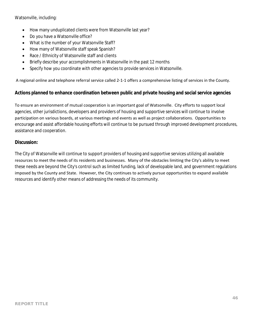Watsonville, including:

- How many unduplicated clients were from Watsonville last year?
- Do you have a Watsonville office?
- What is the number of your Watsonville Staff?
- How many of Watsonville staff speak Spanish?
- Race / Ethnicity of Watsonville staff and clients
- Briefly describe your accomplishments in Watsonville in the past 12 months
- Specify how you coordinate with other agencies to provide services in Watsonville.

A regional online and telephone referral service called 2-1-1 offers a comprehensive listing of services in the County.

### **Actions planned to enhance coordination between public and private housing and social service agencies**

To ensure an environment of mutual cooperation is an important goal of Watsonville. City efforts to support local agencies, other jurisdictions, developers and providers of housing and supportive services will continue to involve participation on various boards, at various meetings and events as well as project collaborations. Opportunities to encourage and assist affordable housing efforts will continue to be pursued through improved development procedures, assistance and cooperation.

### **Discussion:**

The City of Watsonville will continue to support providers of housing and supportive services utilizing all available resources to meet the needs of its residents and businesses. Many of the obstacles limiting the City's ability to meet these needs are beyond the City's control such as limited funding, lack of developable land, and government regulations imposed by the County and State. However, the City continues to actively pursue opportunities to expand available resources and identify other means of addressing the needs of its community.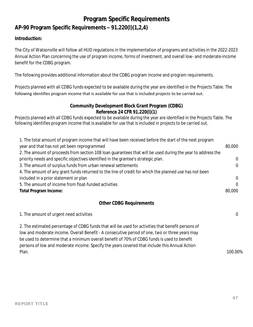# **Program Specific Requirements AP-90 Program Specific Requirements – 91.220(l)(1,2,4)**

### **Introduction:**

The City of Watsonville will follow all HUD regulations in the implementation of programs and activities in the 2022-2023 Annual Action Plan concerning the use of program income, forms of investment, and overall low- and moderate-income benefit for the CDBG program.

The following provides additional information about the CDBG program income and program requirements.

Projects planned with all CDBG funds expected to be available during the year are identified in the Projects Table. The following identifies program income that is available for use that is included projects to be carried out.

#### **Community Development Block Grant Program (CDBG) Reference 24 CFR 91.220(l)(1)**

Projects planned with all CDBG funds expected to be available during the year are identified in the Projects Table. The following identifies program income that is available for use that is included in projects to be carried out.

| 1. The total amount of program income that will have been received before the start of the next program     |          |
|-------------------------------------------------------------------------------------------------------------|----------|
| year and that has not yet been reprogrammed                                                                 | 80,000   |
| 2. The amount of proceeds from section 108 loan guarantees that will be used during the year to address the |          |
| priority needs and specific objectives identified in the grantee's strategic plan.                          | $\Omega$ |
| 3. The amount of surplus funds from urban renewal settlements                                               | $\Omega$ |
| 4. The amount of any grant funds returned to the line of credit for which the planned use has not been      |          |
| included in a prior statement or plan                                                                       | $\Omega$ |
| 5. The amount of income from float-funded activities                                                        | $\Omega$ |
| <b>Total Program Income:</b>                                                                                | 80,000   |

### **Other CDBG Requirements**

| 1. The amount of urgent need activities                                                            |         |
|----------------------------------------------------------------------------------------------------|---------|
| 2. The estimated percentage of CDBG funds that will be used for activities that benefit persons of |         |
| low and moderate income. Overall Benefit - A consecutive period of one, two or three years may     |         |
| be used to determine that a minimum overall benefit of 70% of CDBG funds is used to benefit        |         |
| persons of low and moderate income. Specify the years covered that include this Annual Action      |         |
| Plan.                                                                                              | 100.00% |